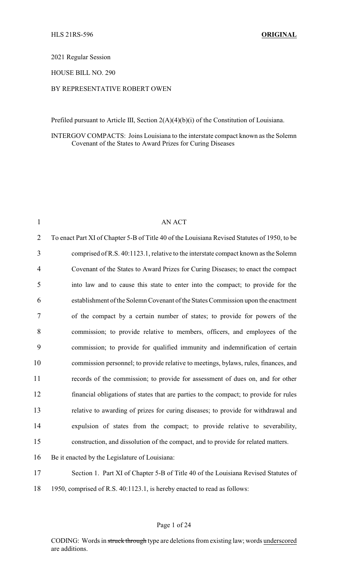2021 Regular Session

HOUSE BILL NO. 290

## BY REPRESENTATIVE ROBERT OWEN

Prefiled pursuant to Article III, Section 2(A)(4)(b)(i) of the Constitution of Louisiana.

INTERGOV COMPACTS: Joins Louisiana to the interstate compact known as the Solemn Covenant of the States to Award Prizes for Curing Diseases

| $\mathbf{1}$   | <b>AN ACT</b>                                                                                |
|----------------|----------------------------------------------------------------------------------------------|
| $\overline{2}$ | To enact Part XI of Chapter 5-B of Title 40 of the Louisiana Revised Statutes of 1950, to be |
| 3              | comprised of R.S. 40:1123.1, relative to the interstate compact known as the Solemn          |
| 4              | Covenant of the States to Award Prizes for Curing Diseases; to enact the compact             |
| 5              | into law and to cause this state to enter into the compact; to provide for the               |
| 6              | establishment of the Solemn Covenant of the States Commission upon the enactment             |
| 7              | of the compact by a certain number of states; to provide for powers of the                   |
| 8              | commission; to provide relative to members, officers, and employees of the                   |
| 9              | commission; to provide for qualified immunity and indemnification of certain                 |
| 10             | commission personnel; to provide relative to meetings, bylaws, rules, finances, and          |
| 11             | records of the commission; to provide for assessment of dues on, and for other               |
| 12             | financial obligations of states that are parties to the compact; to provide for rules        |
| 13             | relative to awarding of prizes for curing diseases; to provide for withdrawal and            |
| 14             | expulsion of states from the compact; to provide relative to severability,                   |
| 15             | construction, and dissolution of the compact, and to provide for related matters.            |
| 16             | Be it enacted by the Legislature of Louisiana:                                               |
| 17             | Section 1. Part XI of Chapter 5-B of Title 40 of the Louisiana Revised Statutes of           |
| 18             | 1950, comprised of R.S. 40:1123.1, is hereby enacted to read as follows:                     |

## Page 1 of 24

CODING: Words in struck through type are deletions from existing law; words underscored are additions.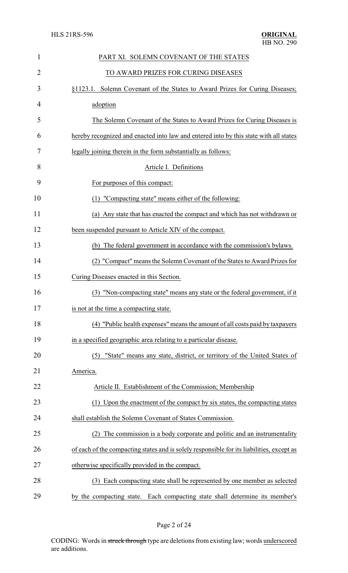| $\mathbf{1}$ | PART XI. SOLEMN COVENANT OF THE STATES                                                    |
|--------------|-------------------------------------------------------------------------------------------|
| 2            | TO AWARD PRIZES FOR CURING DISEASES                                                       |
| 3            | §1123.1. Solemn Covenant of the States to Award Prizes for Curing Diseases;               |
| 4            | adoption                                                                                  |
| 5            | The Solemn Covenant of the States to Award Prizes for Curing Diseases is                  |
| 6            | hereby recognized and enacted into law and entered into by this state with all states     |
| 7            | legally joining therein in the form substantially as follows:                             |
| 8            | Article I. Definitions                                                                    |
| 9            | For purposes of this compact:                                                             |
| 10           | (1) "Compacting state" means either of the following:                                     |
| 11           | (a) Any state that has enacted the compact and which has not withdrawn or                 |
| 12           | been suspended pursuant to Article XIV of the compact.                                    |
| 13           | (b) The federal government in accordance with the commission's bylaws.                    |
| 14           | (2) "Compact" means the Solemn Covenant of the States to Award Prizes for                 |
| 15           | Curing Diseases enacted in this Section.                                                  |
| 16           | (3) "Non-compacting state" means any state or the federal government, if it               |
| 17           | is not at the time a compacting state.                                                    |
| 18           | (4) "Public health expenses" means the amount of all costs paid by taxpayers              |
| 19           | in a specified geographic area relating to a particular disease.                          |
| 20           | "State" means any state, district, or territory of the United States of<br>(5)            |
| 21           | America.                                                                                  |
| 22           | Article II. Establishment of the Commission; Membership                                   |
| 23           | (1) Upon the enactment of the compact by six states, the compacting states                |
| 24           | shall establish the Solemn Covenant of States Commission.                                 |
| 25           | The commission is a body corporate and politic and an instrumentality                     |
| 26           | of each of the compacting states and is solely responsible for its liabilities, except as |
| 27           | otherwise specifically provided in the compact.                                           |
| 28           | (3) Each compacting state shall be represented by one member as selected                  |
| 29           | by the compacting state. Each compacting state shall determine its member's               |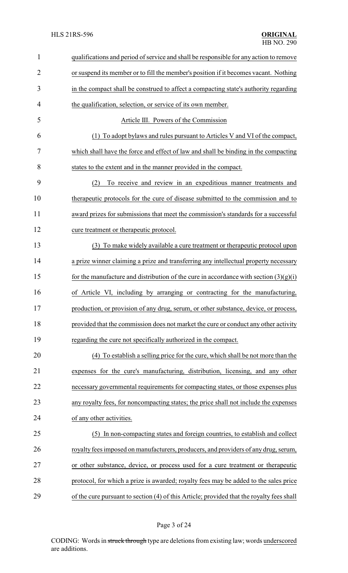| 1              | qualifications and period of service and shall be responsible for any action to remove    |
|----------------|-------------------------------------------------------------------------------------------|
| $\overline{2}$ | or suspend its member or to fill the member's position if it becomes vacant. Nothing      |
| 3              | in the compact shall be construed to affect a compacting state's authority regarding      |
| 4              | the qualification, selection, or service of its own member.                               |
| 5              | Article III. Powers of the Commission                                                     |
| 6              | (1) To adopt by laws and rules pursuant to Articles V and VI of the compact,              |
| 7              | which shall have the force and effect of law and shall be binding in the compacting       |
| 8              | states to the extent and in the manner provided in the compact.                           |
| 9              | To receive and review in an expeditious manner treatments and<br>(2)                      |
| 10             | therapeutic protocols for the cure of disease submitted to the commission and to          |
| 11             | award prizes for submissions that meet the commission's standards for a successful        |
| 12             | cure treatment or therapeutic protocol.                                                   |
| 13             | (3) To make widely available a cure treatment or therapeutic protocol upon                |
| 14             | a prize winner claiming a prize and transferring any intellectual property necessary      |
| 15             | for the manufacture and distribution of the cure in accordance with section $(3)(g)(i)$   |
| 16             | of Article VI, including by arranging or contracting for the manufacturing,               |
| 17             | production, or provision of any drug, serum, or other substance, device, or process,      |
| 18             | provided that the commission does not market the cure or conduct any other activity       |
| 19             | regarding the cure not specifically authorized in the compact.                            |
| 20             | (4) To establish a selling price for the cure, which shall be not more than the           |
| 21             | expenses for the cure's manufacturing, distribution, licensing, and any other             |
| 22             | necessary governmental requirements for compacting states, or those expenses plus         |
| 23             | any royalty fees, for noncompacting states; the price shall not include the expenses      |
| 24             | of any other activities.                                                                  |
| 25             | (5) In non-compacting states and foreign countries, to establish and collect              |
| 26             | royalty fees imposed on manufacturers, producers, and providers of any drug, serum,       |
| 27             | or other substance, device, or process used for a cure treatment or therapeutic           |
| 28             | protocol, for which a prize is awarded; royalty fees may be added to the sales price      |
| 29             | of the cure pursuant to section (4) of this Article; provided that the royalty fees shall |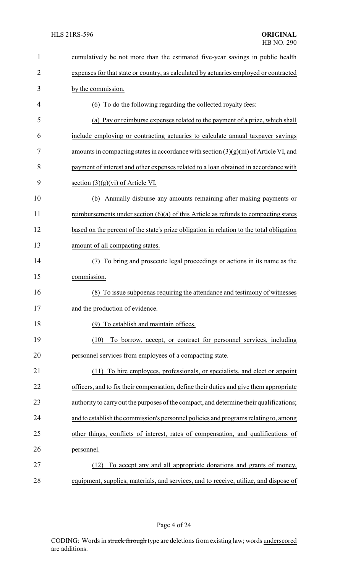| $\mathbf{1}$   | cumulatively be not more than the estimated five-year savings in public health           |
|----------------|------------------------------------------------------------------------------------------|
| $\overline{2}$ | expenses for that state or country, as calculated by actuaries employed or contracted    |
| 3              | by the commission.                                                                       |
| 4              | (6) To do the following regarding the collected royalty fees:                            |
| 5              | (a) Pay or reimburse expenses related to the payment of a prize, which shall             |
| 6              | include employing or contracting actuaries to calculate annual taxpayer savings          |
| 7              | amounts in compacting states in accordance with section $(3)(g)(iii)$ of Article VI, and |
| 8              | payment of interest and other expenses related to a loan obtained in accordance with     |
| 9              | section $(3)(g)(vi)$ of Article VI.                                                      |
| 10             | Annually disburse any amounts remaining after making payments or<br>(b)                  |
| 11             | reimbursements under section $(6)(a)$ of this Article as refunds to compacting states    |
| 12             | based on the percent of the state's prize obligation in relation to the total obligation |
| 13             | amount of all compacting states.                                                         |
| 14             | To bring and prosecute legal proceedings or actions in its name as the                   |
| 15             | commission.                                                                              |
| 16             | To issue subpoenas requiring the attendance and testimony of witnesses<br>(8)            |
| 17             | and the production of evidence.                                                          |
| 18             | (9) To establish and maintain offices.                                                   |
| 19             | (10)<br>To borrow, accept, or contract for personnel services, including                 |
| 20             | personnel services from employees of a compacting state.                                 |
| 21             | To hire employees, professionals, or specialists, and elect or appoint<br>(11)           |
| 22             | officers, and to fix their compensation, define their duties and give them appropriate   |
| 23             | authority to carry out the purposes of the compact, and determine their qualifications;  |
| 24             | and to establish the commission's personnel policies and programs relating to, among     |
| 25             | other things, conflicts of interest, rates of compensation, and qualifications of        |
| 26             | personnel.                                                                               |
| 27             | To accept any and all appropriate donations and grants of money,<br>(12)                 |
| 28             | equipment, supplies, materials, and services, and to receive, utilize, and dispose of    |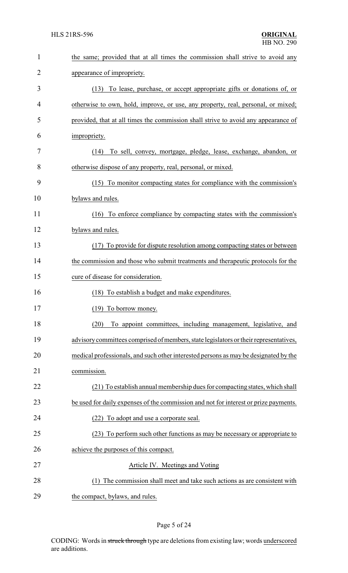| $\mathbf{1}$   | the same; provided that at all times the commission shall strive to avoid any         |
|----------------|---------------------------------------------------------------------------------------|
| $\overline{2}$ | appearance of impropriety.                                                            |
| 3              | To lease, purchase, or accept appropriate gifts or donations of, or<br>(13)           |
| 4              | otherwise to own, hold, improve, or use, any property, real, personal, or mixed;      |
| 5              | provided, that at all times the commission shall strive to avoid any appearance of    |
| 6              | impropriety.                                                                          |
| 7              | To sell, convey, mortgage, pledge, lease, exchange, abandon, or<br>(14)               |
| 8              | otherwise dispose of any property, real, personal, or mixed.                          |
| 9              | (15) To monitor compacting states for compliance with the commission's                |
| 10             | bylaws and rules.                                                                     |
| 11             | (16) To enforce compliance by compacting states with the commission's                 |
| 12             | bylaws and rules.                                                                     |
| 13             | (17) To provide for dispute resolution among compacting states or between             |
| 14             | the commission and those who submit treatments and therapeutic protocols for the      |
| 15             | cure of disease for consideration.                                                    |
| 16             | To establish a budget and make expenditures.<br>(18)                                  |
| 17             | (19) To borrow money.                                                                 |
| 18             | To appoint committees, including management, legislative, and<br>(20)                 |
| 19             | advisory committees comprised of members, state legislators or their representatives, |
| 20             | medical professionals, and such other interested persons as may be designated by the  |
| 21             | commission.                                                                           |
| 22             | (21) To establish annual membership dues for compacting states, which shall           |
| 23             | be used for daily expenses of the commission and not for interest or prize payments.  |
| 24             | (22) To adopt and use a corporate seal.                                               |
| 25             | (23) To perform such other functions as may be necessary or appropriate to            |
| 26             | achieve the purposes of this compact.                                                 |
| 27             | Article IV. Meetings and Voting                                                       |
| 28             | (1) The commission shall meet and take such actions as are consistent with            |
| 29             | the compact, bylaws, and rules.                                                       |

## Page 5 of 24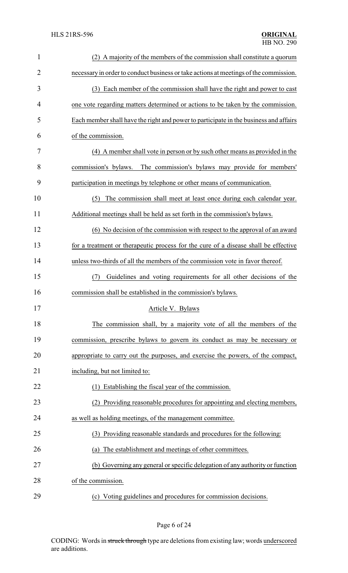| $\mathbf{1}$   | (2) A majority of the members of the commission shall constitute a quorum             |
|----------------|---------------------------------------------------------------------------------------|
| $\overline{2}$ | necessary in order to conduct business or take actions at meetings of the commission. |
| 3              | (3) Each member of the commission shall have the right and power to cast              |
| 4              | one vote regarding matters determined or actions to be taken by the commission.       |
| 5              | Each member shall have the right and power to participate in the business and affairs |
| 6              | of the commission.                                                                    |
| 7              | (4) A member shall vote in person or by such other means as provided in the           |
| 8              | commission's bylaws. The commission's bylaws may provide for members'                 |
| 9              | participation in meetings by telephone or other means of communication.               |
| 10             | The commission shall meet at least once during each calendar year.<br>(5)             |
| 11             | Additional meetings shall be held as set forth in the commission's bylaws.            |
| 12             | (6) No decision of the commission with respect to the approval of an award            |
| 13             | for a treatment or therapeutic process for the cure of a disease shall be effective   |
| 14             | unless two-thirds of all the members of the commission vote in favor thereof.         |
| 15             | Guidelines and voting requirements for all other decisions of the<br>(7)              |
| 16             | commission shall be established in the commission's bylaws.                           |
| 17             | Article V. Bylaws                                                                     |
| 18             | The commission shall, by a majority vote of all the members of the                    |
| 19             | commission, prescribe bylaws to govern its conduct as may be necessary or             |
| 20             | appropriate to carry out the purposes, and exercise the powers, of the compact,       |
| 21             | including, but not limited to:                                                        |
| 22             | (1) Establishing the fiscal year of the commission.                                   |
| 23             | (2) Providing reasonable procedures for appointing and electing members,              |
| 24             | as well as holding meetings, of the management committee.                             |
| 25             | (3) Providing reasonable standards and procedures for the following:                  |
| 26             | The establishment and meetings of other committees.<br>(a)                            |
| 27             | (b) Governing any general or specific delegation of any authority or function         |
| 28             | of the commission.                                                                    |
| 29             | (c) Voting guidelines and procedures for commission decisions.                        |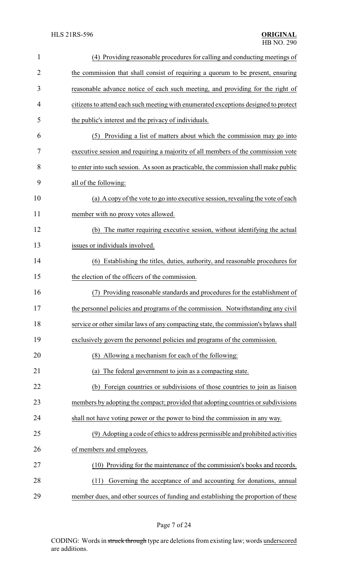| $\mathbf{1}$ | (4) Providing reasonable procedures for calling and conducting meetings of           |
|--------------|--------------------------------------------------------------------------------------|
| 2            | the commission that shall consist of requiring a quorum to be present, ensuring      |
| 3            | reasonable advance notice of each such meeting, and providing for the right of       |
| 4            | citizens to attend each such meeting with enumerated exceptions designed to protect  |
| 5            | the public's interest and the privacy of individuals.                                |
| 6            | Providing a list of matters about which the commission may go into<br>(5)            |
| 7            | executive session and requiring a majority of all members of the commission vote     |
| 8            | to enter into such session. As soon as practicable, the commission shall make public |
| 9            | all of the following:                                                                |
| 10           | (a) A copy of the vote to go into executive session, revealing the vote of each      |
| 11           | member with no proxy votes allowed.                                                  |
| 12           | (b) The matter requiring executive session, without identifying the actual           |
| 13           | issues or individuals involved.                                                      |
| 14           | (6) Establishing the titles, duties, authority, and reasonable procedures for        |
| 15           | the election of the officers of the commission.                                      |
| 16           | Providing reasonable standards and procedures for the establishment of               |
| 17           | the personnel policies and programs of the commission. Notwithstanding any civil     |
| 18           | service or other similar laws of any compacting state, the commission's bylaws shall |
| 19           | exclusively govern the personnel policies and programs of the commission.            |
| 20           | (8) Allowing a mechanism for each of the following:                                  |
| 21           | The federal government to join as a compacting state.<br>(a)                         |
| 22           | Foreign countries or subdivisions of those countries to join as liaison<br>(b)       |
| 23           | members by adopting the compact; provided that adopting countries or subdivisions    |
| 24           | shall not have voting power or the power to bind the commission in any way.          |
| 25           | (9) Adopting a code of ethics to address permissible and prohibited activities       |
| 26           | of members and employees.                                                            |
| 27           | (10) Providing for the maintenance of the commission's books and records.            |
| 28           | Governing the acceptance of and accounting for donations, annual<br>(11)             |
| 29           | member dues, and other sources of funding and establishing the proportion of these   |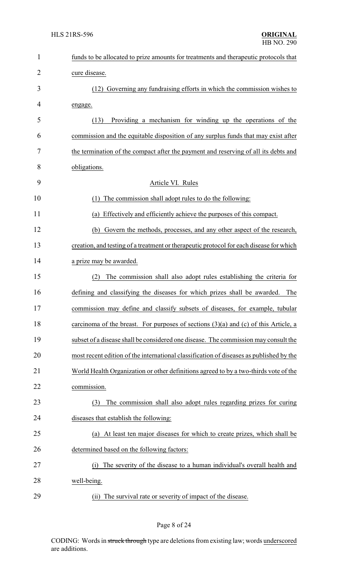| $\mathbf{1}$ | funds to be allocated to prize amounts for treatments and therapeutic protocols that    |
|--------------|-----------------------------------------------------------------------------------------|
| 2            | cure disease.                                                                           |
| 3            | (12) Governing any fundraising efforts in which the commission wishes to                |
| 4            | engage.                                                                                 |
| 5            | Providing a mechanism for winding up the operations of the<br>(13)                      |
| 6            | commission and the equitable disposition of any surplus funds that may exist after      |
| 7            | the termination of the compact after the payment and reserving of all its debts and     |
| 8            | obligations.                                                                            |
| 9            | Article VI. Rules                                                                       |
| 10           | The commission shall adopt rules to do the following:<br>(1)                            |
| 11           | Effectively and efficiently achieve the purposes of this compact.<br>(a)                |
| 12           | (b) Govern the methods, processes, and any other aspect of the research,                |
| 13           | creation, and testing of a treatment or therapeutic protocol for each disease for which |
| 14           | a prize may be awarded.                                                                 |
| 15           | The commission shall also adopt rules establishing the criteria for<br>(2)              |
| 16           | defining and classifying the diseases for which prizes shall be awarded.<br>The         |
| 17           | commission may define and classify subsets of diseases, for example, tubular            |
| 18           | carcinoma of the breast. For purposes of sections $(3)(a)$ and $(c)$ of this Article, a |
| 19           | subset of a disease shall be considered one disease. The commission may consult the     |
| 20           | most recent edition of the international classification of diseases as published by the |
| 21           | World Health Organization or other definitions agreed to by a two-thirds vote of the    |
| 22           | commission.                                                                             |
| 23           | The commission shall also adopt rules regarding prizes for curing<br>(3)                |
| 24           | diseases that establish the following:                                                  |
| 25           | At least ten major diseases for which to create prizes, which shall be<br>(a)           |
| 26           | determined based on the following factors:                                              |
| 27           | The severity of the disease to a human individual's overall health and<br>(i)           |
| 28           | well-being.                                                                             |
| 29           | (ii) The survival rate or severity of impact of the disease.                            |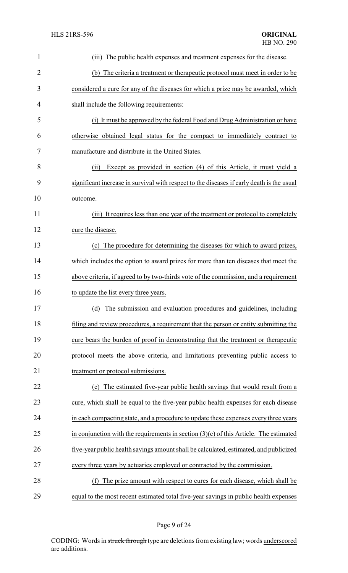| 1              | The public health expenses and treatment expenses for the disease.<br>(iii)               |
|----------------|-------------------------------------------------------------------------------------------|
| $\overline{2}$ | (b) The criteria a treatment or therapeutic protocol must meet in order to be             |
| 3              | considered a cure for any of the diseases for which a prize may be awarded, which         |
| 4              | shall include the following requirements:                                                 |
| 5              | (i) It must be approved by the federal Food and Drug Administration or have               |
| 6              | otherwise obtained legal status for the compact to immediately contract to                |
| 7              | manufacture and distribute in the United States.                                          |
| 8              | Except as provided in section (4) of this Article, it must yield a<br>(ii)                |
| 9              | significant increase in survival with respect to the diseases if early death is the usual |
| 10             | outcome.                                                                                  |
| 11             | (iii) It requires less than one year of the treatment or protocol to completely           |
| 12             | cure the disease.                                                                         |
| 13             | (c) The procedure for determining the diseases for which to award prizes,                 |
| 14             | which includes the option to award prizes for more than ten diseases that meet the        |
| 15             | above criteria, if agreed to by two-thirds vote of the commission, and a requirement      |
| 16             | to update the list every three years.                                                     |
| 17             | (d) The submission and evaluation procedures and guidelines, including                    |
| 18             | filing and review procedures, a requirement that the person or entity submitting the      |
| 19             | cure bears the burden of proof in demonstrating that the treatment or therapeutic         |
| 20             | protocol meets the above criteria, and limitations preventing public access to            |
| 21             | treatment or protocol submissions.                                                        |
| 22             | (e) The estimated five-year public health savings that would result from a                |
| 23             | cure, which shall be equal to the five-year public health expenses for each disease       |
| 24             | in each compacting state, and a procedure to update these expenses every three years      |
| 25             | in conjunction with the requirements in section $(3)(c)$ of this Article. The estimated   |
| 26             | five-year public health savings amount shall be calculated, estimated, and publicized     |
| 27             | every three years by actuaries employed or contracted by the commission.                  |
| 28             | The prize amount with respect to cures for each disease, which shall be<br>(f)            |
| 29             | equal to the most recent estimated total five-year savings in public health expenses      |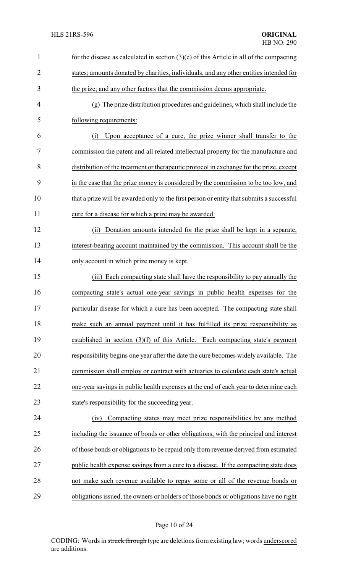| $\mathbf{1}$   | for the disease as calculated in section $(3)(e)$ of this Article in all of the compacting |
|----------------|--------------------------------------------------------------------------------------------|
| $\overline{2}$ | states; amounts donated by charities, individuals, and any other entities intended for     |
| 3              | the prize; and any other factors that the commission deems appropriate.                    |
| 4              | (g) The prize distribution procedures and guidelines, which shall include the              |
| 5              | following requirements:                                                                    |
| 6              | Upon acceptance of a cure, the prize winner shall transfer to the<br>(i)                   |
| 7              | commission the patent and all related intellectual property for the manufacture and        |
| 8              | distribution of the treatment or therapeutic protocol in exchange for the prize, except    |
| 9              | in the case that the prize money is considered by the commission to be too low, and        |
| 10             | that a prize will be awarded only to the first person or entity that submits a successful  |
| 11             | cure for a disease for which a prize may be awarded.                                       |
| 12             | Donation amounts intended for the prize shall be kept in a separate,<br>(i)                |
| 13             | interest-bearing account maintained by the commission. This account shall be the           |
| 14             | only account in which prize money is kept.                                                 |
| 15             | Each compacting state shall have the responsibility to pay annually the<br>(iii)           |
| 16             | compacting state's actual one-year savings in public health expenses for the               |
| 17             | particular disease for which a cure has been accepted. The compacting state shall          |
| 18             | make such an annual payment until it has fulfilled its prize responsibility as             |
| 19             | established in section $(3)(f)$ of this Article. Each compacting state's payment           |
| 20             | responsibility begins one year after the date the cure becomes widely available. The       |
| 21             | commission shall employ or contract with actuaries to calculate each state's actual        |
| 22             | one-year savings in public health expenses at the end of each year to determine each       |
| 23             | state's responsibility for the succeeding year.                                            |
| 24             | Compacting states may meet prize responsibilities by any method<br>(iv)                    |
| 25             | including the issuance of bonds or other obligations, with the principal and interest      |
| 26             | of those bonds or obligations to be repaid only from revenue derived from estimated        |
| 27             | public health expense savings from a cure to a disease. If the compacting state does       |
| 28             | not make such revenue available to repay some or all of the revenue bonds or               |
| 29             | obligations issued, the owners or holders of those bonds or obligations have no right      |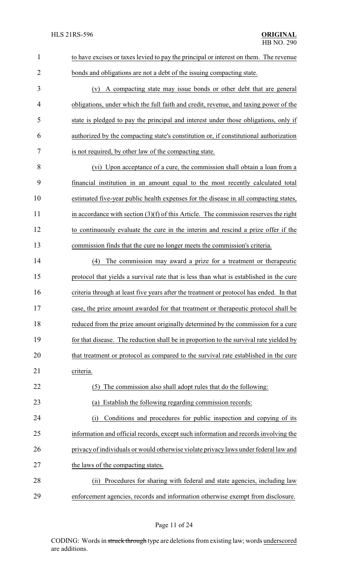| $\mathbf{1}$   | to have excises or taxes levied to pay the principal or interest on them. The revenue   |
|----------------|-----------------------------------------------------------------------------------------|
| $\overline{2}$ | bonds and obligations are not a debt of the issuing compacting state.                   |
| 3              | (v) A compacting state may issue bonds or other debt that are general                   |
| 4              | obligations, under which the full faith and credit, revenue, and taxing power of the    |
| 5              | state is pledged to pay the principal and interest under those obligations, only if     |
| 6              | authorized by the compacting state's constitution or, if constitutional authorization   |
| 7              | is not required, by other law of the compacting state.                                  |
| 8              | (vi) Upon acceptance of a cure, the commission shall obtain a loan from a               |
| 9              | financial institution in an amount equal to the most recently calculated total          |
| 10             | estimated five-year public health expenses for the disease in all compacting states,    |
| 11             | in accordance with section $(3)(f)$ of this Article. The commission reserves the right  |
| 12             | to continuously evaluate the cure in the interim and rescind a prize offer if the       |
| 13             | commission finds that the cure no longer meets the commission's criteria.               |
| 14             | The commission may award a prize for a treatment or therapeutic<br>(4)                  |
| 15             | protocol that yields a survival rate that is less than what is established in the cure  |
| 16             | criteria through at least five years after the treatment or protocol has ended. In that |
| 17             | case, the prize amount awarded for that treatment or therapeutic protocol shall be      |
| 18             | reduced from the prize amount originally determined by the commission for a cure        |
| 19             | for that disease. The reduction shall be in proportion to the survival rate yielded by  |
| 20             | that treatment or protocol as compared to the survival rate established in the cure     |
| 21             | criteria.                                                                               |
| 22             | The commission also shall adopt rules that do the following:<br>(5)                     |
| 23             | Establish the following regarding commission records:<br>(a)                            |
| 24             | Conditions and procedures for public inspection and copying of its<br>(i)               |
| 25             | information and official records, except such information and records involving the     |
| 26             | privacy of individuals or would otherwise violate privacy laws under federal law and    |
| 27             | the laws of the compacting states.                                                      |
| 28             | Procedures for sharing with federal and state agencies, including law<br>(i)            |
| 29             | enforcement agencies, records and information otherwise exempt from disclosure.         |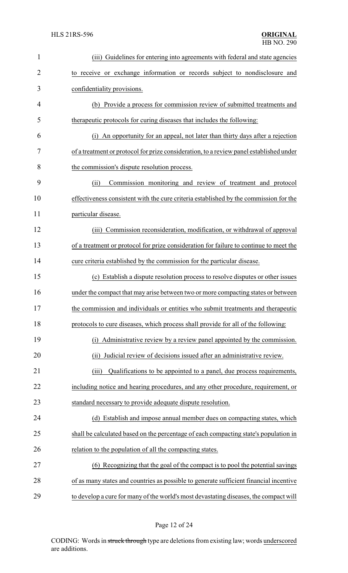| $\mathbf{1}$ | (iii) Guidelines for entering into agreements with federal and state agencies           |
|--------------|-----------------------------------------------------------------------------------------|
| 2            | to receive or exchange information or records subject to nondisclosure and              |
| 3            | confidentiality provisions.                                                             |
| 4            | (b) Provide a process for commission review of submitted treatments and                 |
| 5            | therapeutic protocols for curing diseases that includes the following:                  |
| 6            | An opportunity for an appeal, not later than thirty days after a rejection<br>(1)       |
| 7            | of a treatment or protocol for prize consideration, to a review panel established under |
| 8            | the commission's dispute resolution process.                                            |
| 9            | Commission monitoring and review of treatment and protocol<br>(ii)                      |
| 10           | effectiveness consistent with the cure criteria established by the commission for the   |
| 11           | particular disease.                                                                     |
| 12           | (iii) Commission reconsideration, modification, or withdrawal of approval               |
| 13           | of a treatment or protocol for prize consideration for failure to continue to meet the  |
| 14           | cure criteria established by the commission for the particular disease.                 |
| 15           | (c) Establish a dispute resolution process to resolve disputes or other issues          |
| 16           | under the compact that may arise between two or more compacting states or between       |
| 17           | the commission and individuals or entities who submit treatments and therapeutic        |
| 18           | protocols to cure diseases, which process shall provide for all of the following:       |
| 19           | (i) Administrative review by a review panel appointed by the commission.                |
| 20           | Judicial review of decisions issued after an administrative review.<br>(ii)             |
| 21           | Qualifications to be appointed to a panel, due process requirements,<br>(iii)           |
| 22           | including notice and hearing procedures, and any other procedure, requirement, or       |
| 23           | standard necessary to provide adequate dispute resolution.                              |
| 24           | (d) Establish and impose annual member dues on compacting states, which                 |
| 25           | shall be calculated based on the percentage of each compacting state's population in    |
| 26           | relation to the population of all the compacting states.                                |
| 27           | (6) Recognizing that the goal of the compact is to pool the potential savings           |
| 28           | of as many states and countries as possible to generate sufficient financial incentive  |
| 29           | to develop a cure for many of the world's most devastating diseases, the compact will   |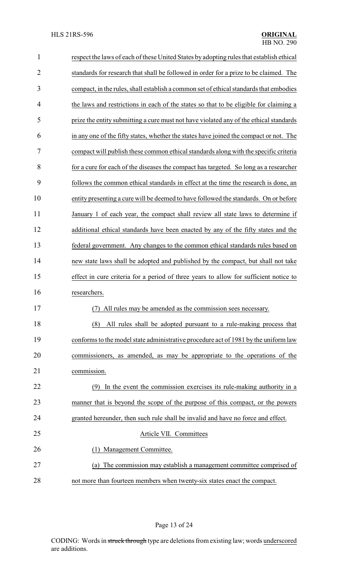| $\mathbf{1}$   | respect the laws of each of these United States by adopting rules that establish ethical |  |
|----------------|------------------------------------------------------------------------------------------|--|
| $\overline{2}$ | standards for research that shall be followed in order for a prize to be claimed. The    |  |
| 3              | compact, in the rules, shall establish a common set of ethical standards that embodies   |  |
| 4              | the laws and restrictions in each of the states so that to be eligible for claiming a    |  |
| 5              | prize the entity submitting a cure must not have violated any of the ethical standards   |  |
| 6              | in any one of the fifty states, whether the states have joined the compact or not. The   |  |
| 7              | compact will publish these common ethical standards along with the specific criteria     |  |
| 8              | for a cure for each of the diseases the compact has targeted. So long as a researcher    |  |
| 9              | follows the common ethical standards in effect at the time the research is done, an      |  |
| 10             | entity presenting a cure will be deemed to have followed the standards. On or before     |  |
| 11             | January 1 of each year, the compact shall review all state laws to determine if          |  |
| 12             | additional ethical standards have been enacted by any of the fifty states and the        |  |
| 13             | federal government. Any changes to the common ethical standards rules based on           |  |
| 14             | new state laws shall be adopted and published by the compact, but shall not take         |  |
| 15             | effect in cure criteria for a period of three years to allow for sufficient notice to    |  |
| 16             | researchers.                                                                             |  |
| 17             | All rules may be amended as the commission sees necessary.                               |  |
| 18             | All rules shall be adopted pursuant to a rule-making process that<br>(8)                 |  |
| 19             | conforms to the model state administrative procedure act of 1981 by the uniform law      |  |
| 20             | commissioners, as amended, as may be appropriate to the operations of the                |  |
| 21             | commission.                                                                              |  |
| 22             | In the event the commission exercises its rule-making authority in a<br>(9)              |  |
| 23             | manner that is beyond the scope of the purpose of this compact, or the powers            |  |
| 24             | granted hereunder, then such rule shall be invalid and have no force and effect.         |  |
| 25             | Article VII. Committees                                                                  |  |
| 26             | (1) Management Committee.                                                                |  |
| 27             | The commission may establish a management committee comprised of<br>(a)                  |  |
| 28             | not more than fourteen members when twenty-six states enact the compact.                 |  |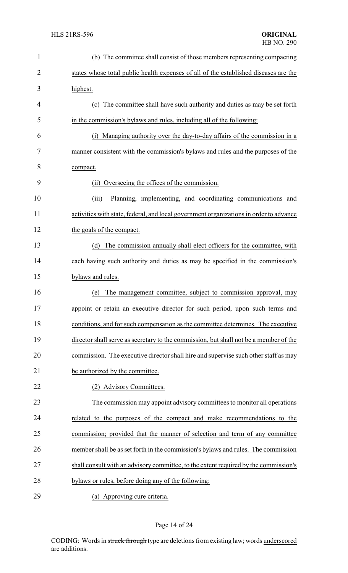| $\mathbf{1}$   | (b) The committee shall consist of those members representing compacting               |  |
|----------------|----------------------------------------------------------------------------------------|--|
| $\overline{2}$ | states whose total public health expenses of all of the established diseases are the   |  |
| 3              | highest.                                                                               |  |
| 4              | (c) The committee shall have such authority and duties as may be set forth             |  |
| 5              | in the commission's bylaws and rules, including all of the following:                  |  |
| 6              | Managing authority over the day-to-day affairs of the commission in a<br>(i)           |  |
| 7              | manner consistent with the commission's bylaws and rules and the purposes of the       |  |
| 8              | compact.                                                                               |  |
| 9              | (ii) Overseeing the offices of the commission.                                         |  |
| 10             | (iii)<br>Planning, implementing, and coordinating communications and                   |  |
| 11             | activities with state, federal, and local government organizations in order to advance |  |
| 12             | the goals of the compact.                                                              |  |
| 13             | The commission annually shall elect officers for the committee, with<br>(d)            |  |
| 14             | each having such authority and duties as may be specified in the commission's          |  |
| 15             | bylaws and rules.                                                                      |  |
| 16             | The management committee, subject to commission approval, may<br>(e)                   |  |
| 17             | appoint or retain an executive director for such period, upon such terms and           |  |
| 18             | conditions, and for such compensation as the committee determines. The executive       |  |
| 19             | director shall serve as secretary to the commission, but shall not be a member of the  |  |
| 20             | commission. The executive director shall hire and supervise such other staff as may    |  |
| 21             | be authorized by the committee.                                                        |  |
| 22             | (2) Advisory Committees.                                                               |  |
| 23             | The commission may appoint advisory committees to monitor all operations               |  |
| 24             | related to the purposes of the compact and make recommendations to the                 |  |
| 25             | commission; provided that the manner of selection and term of any committee            |  |
| 26             | member shall be as set forth in the commission's bylaws and rules. The commission      |  |
| 27             | shall consult with an advisory committee, to the extent required by the commission's   |  |
| 28             | bylaws or rules, before doing any of the following:                                    |  |
| 29             | (a) Approving cure criteria.                                                           |  |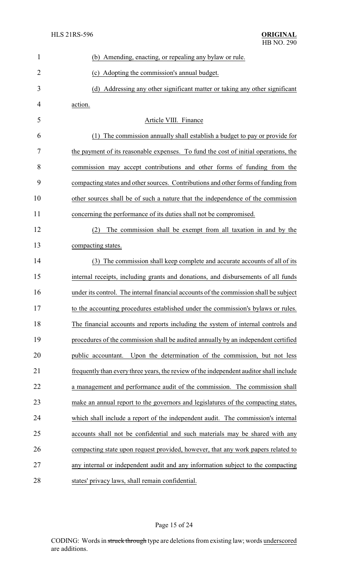| $\mathbf{1}$   | (b) Amending, enacting, or repealing any bylaw or rule.                                |  |  |
|----------------|----------------------------------------------------------------------------------------|--|--|
| $\overline{2}$ | (c) Adopting the commission's annual budget.                                           |  |  |
| 3              | (d) Addressing any other significant matter or taking any other significant            |  |  |
| 4              | action.                                                                                |  |  |
| 5              | Article VIII. Finance                                                                  |  |  |
| 6              | The commission annually shall establish a budget to pay or provide for<br>(1)          |  |  |
| 7              | the payment of its reasonable expenses. To fund the cost of initial operations, the    |  |  |
| 8              | commission may accept contributions and other forms of funding from the                |  |  |
| 9              | compacting states and other sources. Contributions and other forms of funding from     |  |  |
| 10             | other sources shall be of such a nature that the independence of the commission        |  |  |
| 11             | concerning the performance of its duties shall not be compromised.                     |  |  |
| 12             | The commission shall be exempt from all taxation in and by the<br>(2)                  |  |  |
| 13             | compacting states.                                                                     |  |  |
| 14             | (3) The commission shall keep complete and accurate accounts of all of its             |  |  |
| 15             | internal receipts, including grants and donations, and disbursements of all funds      |  |  |
| 16             | under its control. The internal financial accounts of the commission shall be subject  |  |  |
| 17             | to the accounting procedures established under the commission's bylaws or rules.       |  |  |
| 18             | The financial accounts and reports including the system of internal controls and       |  |  |
| 19             | procedures of the commission shall be audited annually by an independent certified     |  |  |
| 20             | Upon the determination of the commission, but not less<br>public accountant.           |  |  |
| 21             | frequently than every three years, the review of the independent auditor shall include |  |  |
| 22             | a management and performance audit of the commission. The commission shall             |  |  |
| 23             | make an annual report to the governors and legislatures of the compacting states,      |  |  |
| 24             | which shall include a report of the independent audit. The commission's internal       |  |  |
| 25             | accounts shall not be confidential and such materials may be shared with any           |  |  |
| 26             | compacting state upon request provided, however, that any work papers related to       |  |  |
| 27             | any internal or independent audit and any information subject to the compacting        |  |  |
| 28             | states' privacy laws, shall remain confidential.                                       |  |  |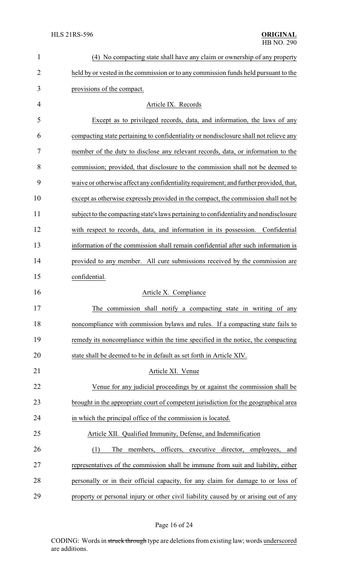| $\mathbf{1}$   | (4) No compacting state shall have any claim or ownership of any property              |  |
|----------------|----------------------------------------------------------------------------------------|--|
| $\overline{2}$ | held by or vested in the commission or to any commission funds held pursuant to the    |  |
| 3              | provisions of the compact.                                                             |  |
| $\overline{4}$ | Article IX. Records                                                                    |  |
| 5              | Except as to privileged records, data, and information, the laws of any                |  |
| 6              | compacting state pertaining to confidentiality or nondisclosure shall not relieve any  |  |
| 7              | member of the duty to disclose any relevant records, data, or information to the       |  |
| 8              | commission; provided, that disclosure to the commission shall not be deemed to         |  |
| 9              | waive or otherwise affect any confidentiality requirement; and further provided, that, |  |
| 10             | except as otherwise expressly provided in the compact, the commission shall not be     |  |
| 11             | subject to the compacting state's laws pertaining to confidentiality and nondisclosure |  |
| 12             | with respect to records, data, and information in its possession. Confidential         |  |
| 13             | information of the commission shall remain confidential after such information is      |  |
| 14             | provided to any member. All cure submissions received by the commission are            |  |
| 15             | confidential.                                                                          |  |
| 16             | Article X. Compliance                                                                  |  |
| 17             | The commission shall notify a compacting state in writing of any                       |  |
| 18             | noncompliance with commission bylaws and rules. If a compacting state fails to         |  |
| 19             | remedy its noncompliance within the time specified in the notice, the compacting       |  |
| 20             | state shall be deemed to be in default as set forth in Article XIV.                    |  |
| 21             | Article XI. Venue                                                                      |  |
| 22             | Venue for any judicial proceedings by or against the commission shall be               |  |
| 23             | brought in the appropriate court of competent jurisdiction for the geographical area   |  |
| 24             | in which the principal office of the commission is located.                            |  |
| 25             | Article XII. Qualified Immunity, Defense, and Indemnification                          |  |
| 26             | (1)<br>officers,<br>executive director,<br>The<br>members,<br>employees,<br>and        |  |
| 27             | representatives of the commission shall be immune from suit and liability, either      |  |
| 28             | personally or in their official capacity, for any claim for damage to or loss of       |  |
| 29             | property or personal injury or other civil liability caused by or arising out of any   |  |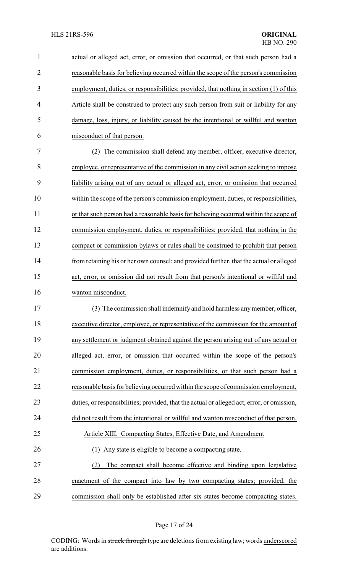| $\mathbf{1}$   | actual or alleged act, error, or omission that occurred, or that such person had a         |
|----------------|--------------------------------------------------------------------------------------------|
| $\overline{2}$ | reasonable basis for believing occurred within the scope of the person's commission        |
| 3              | employment, duties, or responsibilities; provided, that nothing in section (1) of this     |
| 4              | Article shall be construed to protect any such person from suit or liability for any       |
| 5              | damage, loss, injury, or liability caused by the intentional or willful and wanton         |
| 6              | misconduct of that person.                                                                 |
| 7              | The commission shall defend any member, officer, executive director,<br>(2)                |
| 8              | employee, or representative of the commission in any civil action seeking to impose        |
| 9              | liability arising out of any actual or alleged act, error, or omission that occurred       |
| 10             | within the scope of the person's commission employment, duties, or responsibilities,       |
| 11             | or that such person had a reasonable basis for believing occurred within the scope of      |
| 12             | commission employment, duties, or responsibilities; provided, that nothing in the          |
| 13             | compact or commission bylaws or rules shall be construed to prohibit that person           |
| 14             | from retaining his or her own counsel; and provided further, that the actual or alleged    |
| 15             | act, error, or omission did not result from that person's intentional or willful and       |
| 16             | wanton misconduct.                                                                         |
| 17             | (3) The commission shall indemnify and hold harmless any member, officer,                  |
| 18             | executive director, employee, or representative of the commission for the amount of        |
| 19             | any settlement or judgment obtained against the person arising out of any actual or        |
| 20             | alleged act, error, or omission that occurred within the scope of the person's             |
| 21             | commission employment, duties, or responsibilities, or that such person had a              |
| 22             | reasonable basis for believing occurred within the scope of commission employment,         |
| 23             | duties, or responsibilities; provided, that the actual or alleged act, error, or omission, |
| 24             | did not result from the intentional or willful and wanton misconduct of that person.       |
| 25             | Article XIII. Compacting States, Effective Date, and Amendment                             |
| 26             | Any state is eligible to become a compacting state.<br>(1)                                 |
| 27             | The compact shall become effective and binding upon legislative<br>(2)                     |
| 28             | enactment of the compact into law by two compacting states; provided, the                  |
| 29             | commission shall only be established after six states become compacting states.            |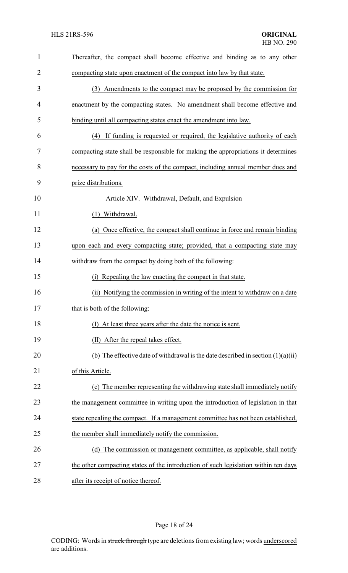| $\mathbf{1}$   | Thereafter, the compact shall become effective and binding as to any other          |  |
|----------------|-------------------------------------------------------------------------------------|--|
| $\overline{2}$ | compacting state upon enactment of the compact into law by that state.              |  |
| 3              | (3) Amendments to the compact may be proposed by the commission for                 |  |
| 4              | enactment by the compacting states. No amendment shall become effective and         |  |
| 5              | binding until all compacting states enact the amendment into law.                   |  |
| 6              | If funding is requested or required, the legislative authority of each<br>(4)       |  |
| 7              | compacting state shall be responsible for making the appropriations it determines   |  |
| 8              | necessary to pay for the costs of the compact, including annual member dues and     |  |
| 9              | prize distributions.                                                                |  |
| 10             | Article XIV. Withdrawal, Default, and Expulsion                                     |  |
| 11             | Withdrawal.<br>(1)                                                                  |  |
| 12             | (a) Once effective, the compact shall continue in force and remain binding          |  |
| 13             | upon each and every compacting state; provided, that a compacting state may         |  |
| 14             | withdraw from the compact by doing both of the following:                           |  |
| 15             | Repealing the law enacting the compact in that state.<br>(i)                        |  |
| 16             | (ii) Notifying the commission in writing of the intent to withdraw on a date        |  |
| 17             | that is both of the following:                                                      |  |
| 18             | (I) At least three years after the date the notice is sent.                         |  |
| 19             | (II) After the repeal takes effect.                                                 |  |
| 20             | (b) The effective date of withdrawal is the date described in section $(1)(a)(ii)$  |  |
| 21             | of this Article.                                                                    |  |
| 22             | (c) The member representing the withdrawing state shall immediately notify          |  |
| 23             | the management committee in writing upon the introduction of legislation in that    |  |
| 24             | state repealing the compact. If a management committee has not been established,    |  |
| 25             | the member shall immediately notify the commission.                                 |  |
| 26             | The commission or management committee, as applicable, shall notify<br>(d)          |  |
| 27             | the other compacting states of the introduction of such legislation within ten days |  |
| 28             | after its receipt of notice thereof.                                                |  |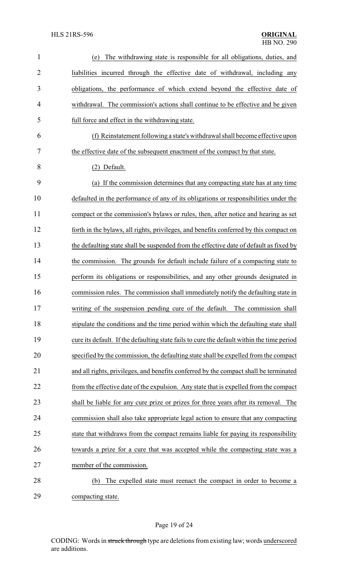| $\mathbf{1}$   | The withdrawing state is responsible for all obligations, duties, and<br>(e)               |  |
|----------------|--------------------------------------------------------------------------------------------|--|
| $\overline{2}$ | liabilities incurred through the effective date of withdrawal, including any               |  |
| 3              | obligations, the performance of which extend beyond the effective date of                  |  |
| $\overline{4}$ | withdrawal. The commission's actions shall continue to be effective and be given           |  |
| 5              | full force and effect in the withdrawing state.                                            |  |
| 6              | (f) Reinstatement following a state's withdrawal shall become effective upon               |  |
| 7              | the effective date of the subsequent enactment of the compact by that state.               |  |
| 8              | (2) Default.                                                                               |  |
| 9              | (a) If the commission determines that any compacting state has at any time                 |  |
| 10             | defaulted in the performance of any of its obligations or responsibilities under the       |  |
| 11             | compact or the commission's bylaws or rules, then, after notice and hearing as set         |  |
| 12             | forth in the bylaws, all rights, privileges, and benefits conferred by this compact on     |  |
| 13             | the defaulting state shall be suspended from the effective date of default as fixed by     |  |
| 14             | the commission. The grounds for default include failure of a compacting state to           |  |
| 15             | perform its obligations or responsibilities, and any other grounds designated in           |  |
| 16             | commission rules. The commission shall immediately notify the defaulting state in          |  |
| 17             | writing of the suspension pending cure of the default. The commission shall                |  |
| 18             | stipulate the conditions and the time period within which the defaulting state shall       |  |
| 19             | cure its default. If the defaulting state fails to cure the default within the time period |  |
| 20             | specified by the commission, the defaulting state shall be expelled from the compact       |  |
| 21             | and all rights, privileges, and benefits conferred by the compact shall be terminated      |  |
| 22             | from the effective date of the expulsion. Any state that is expelled from the compact      |  |
| 23             | shall be liable for any cure prize or prizes for three years after its removal. The        |  |
| 24             | commission shall also take appropriate legal action to ensure that any compacting          |  |
| 25             | state that withdraws from the compact remains liable for paying its responsibility         |  |
| 26             | towards a prize for a cure that was accepted while the compacting state was a              |  |
| 27             | member of the commission.                                                                  |  |
| 28             | The expelled state must reenact the compact in order to become a<br>(b)                    |  |
| 29             | compacting state.                                                                          |  |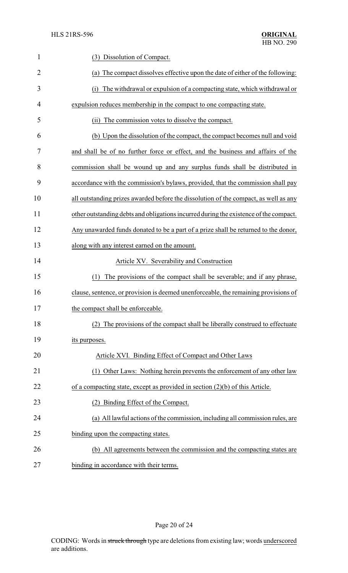| $\mathbf{1}$   | (3) Dissolution of Compact.                                                           |  |
|----------------|---------------------------------------------------------------------------------------|--|
| $\overline{2}$ | (a) The compact dissolves effective upon the date of either of the following:         |  |
| 3              | The withdrawal or expulsion of a compacting state, which withdrawal or<br>(i)         |  |
| $\overline{4}$ | expulsion reduces membership in the compact to one compacting state.                  |  |
| 5              | (ii) The commission votes to dissolve the compact.                                    |  |
| 6              | (b) Upon the dissolution of the compact, the compact becomes null and void            |  |
| 7              | and shall be of no further force or effect, and the business and affairs of the       |  |
| 8              | commission shall be wound up and any surplus funds shall be distributed in            |  |
| 9              | accordance with the commission's bylaws, provided, that the commission shall pay      |  |
| 10             | all outstanding prizes awarded before the dissolution of the compact, as well as any  |  |
| 11             | other outstanding debts and obligations incurred during the existence of the compact. |  |
| 12             | Any unawarded funds donated to be a part of a prize shall be returned to the donor,   |  |
| 13             | along with any interest earned on the amount.                                         |  |
| 14             | Article XV. Severability and Construction                                             |  |
| 15             | The provisions of the compact shall be severable; and if any phrase,<br>(1)           |  |
| 16             | clause, sentence, or provision is deemed unenforceable, the remaining provisions of   |  |
| 17             | the compact shall be enforceable                                                      |  |
| 18             | (2) The provisions of the compact shall be liberally construed to effectuate          |  |
| 19             | its purposes.                                                                         |  |
| 20             | Article XVI. Binding Effect of Compact and Other Laws                                 |  |
| 21             | (1) Other Laws: Nothing herein prevents the enforcement of any other law              |  |
| 22             | of a compacting state, except as provided in section $(2)(b)$ of this Article.        |  |
| 23             | (2) Binding Effect of the Compact.                                                    |  |
| 24             | (a) All lawful actions of the commission, including all commission rules, are         |  |
| 25             | binding upon the compacting states.                                                   |  |
| 26             | (b) All agreements between the commission and the compacting states are               |  |
| 27             | binding in accordance with their terms.                                               |  |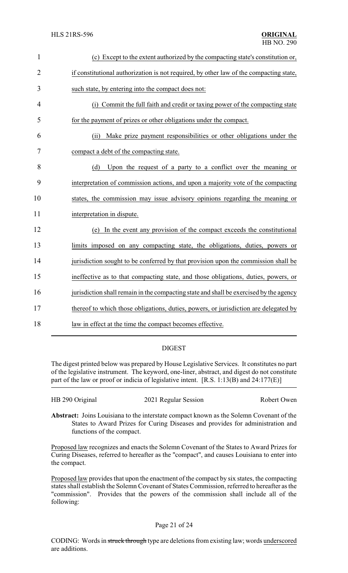| $\mathbf{1}$   | (c) Except to the extent authorized by the compacting state's constitution or,         |
|----------------|----------------------------------------------------------------------------------------|
| $\overline{2}$ | if constitutional authorization is not required, by other law of the compacting state, |
| 3              | such state, by entering into the compact does not:                                     |
| $\overline{4}$ | (i) Commit the full faith and credit or taxing power of the compacting state           |
| 5              | for the payment of prizes or other obligations under the compact.                      |
| 6              | Make prize payment responsibilities or other obligations under the<br>(ii)             |
| 7              | compact a debt of the compacting state.                                                |
| 8              | Upon the request of a party to a conflict over the meaning or<br>(d)                   |
| 9              | interpretation of commission actions, and upon a majority vote of the compacting       |
| 10             | states, the commission may issue advisory opinions regarding the meaning or            |
| 11             | interpretation in dispute.                                                             |
| 12             | (e) In the event any provision of the compact exceeds the constitutional               |
| 13             | limits imposed on any compacting state, the obligations, duties, powers or             |
| 14             | jurisdiction sought to be conferred by that provision upon the commission shall be     |
| 15             | ineffective as to that compacting state, and those obligations, duties, powers, or     |
| 16             | jurisdiction shall remain in the compacting state and shall be exercised by the agency |
| 17             | thereof to which those obligations, duties, powers, or jurisdiction are delegated by   |
| 18             | law in effect at the time the compact becomes effective.                               |

## DIGEST

The digest printed below was prepared by House Legislative Services. It constitutes no part of the legislative instrument. The keyword, one-liner, abstract, and digest do not constitute part of the law or proof or indicia of legislative intent. [R.S. 1:13(B) and 24:177(E)]

| HB 290 Original | 2021 Regular Session | Robert Owen |
|-----------------|----------------------|-------------|
|                 |                      |             |

**Abstract:** Joins Louisiana to the interstate compact known as the Solemn Covenant of the States to Award Prizes for Curing Diseases and provides for administration and functions of the compact.

Proposed law recognizes and enacts the Solemn Covenant of the States to Award Prizes for Curing Diseases, referred to hereafter as the "compact", and causes Louisiana to enter into the compact.

Proposed law provides that upon the enactment of the compact by six states, the compacting states shall establish the Solemn Covenant of States Commission, referred to hereafter as the "commission". Provides that the powers of the commission shall include all of the following: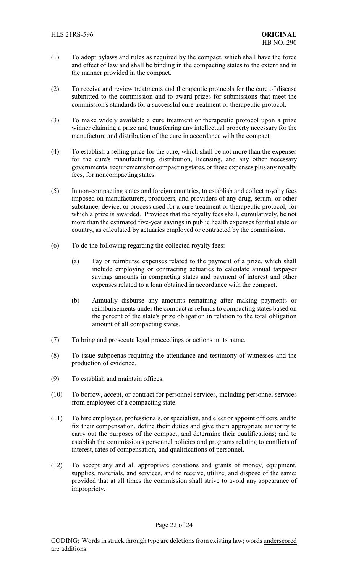- (1) To adopt bylaws and rules as required by the compact, which shall have the force and effect of law and shall be binding in the compacting states to the extent and in the manner provided in the compact.
- (2) To receive and review treatments and therapeutic protocols for the cure of disease submitted to the commission and to award prizes for submissions that meet the commission's standards for a successful cure treatment or therapeutic protocol.
- (3) To make widely available a cure treatment or therapeutic protocol upon a prize winner claiming a prize and transferring any intellectual property necessary for the manufacture and distribution of the cure in accordance with the compact.
- (4) To establish a selling price for the cure, which shall be not more than the expenses for the cure's manufacturing, distribution, licensing, and any other necessary governmental requirements for compacting states, orthose expenses plus any royalty fees, for noncompacting states.
- (5) In non-compacting states and foreign countries, to establish and collect royalty fees imposed on manufacturers, producers, and providers of any drug, serum, or other substance, device, or process used for a cure treatment or therapeutic protocol, for which a prize is awarded. Provides that the royalty fees shall, cumulatively, be not more than the estimated five-year savings in public health expenses for that state or country, as calculated by actuaries employed or contracted by the commission.
- (6) To do the following regarding the collected royalty fees:
	- (a) Pay or reimburse expenses related to the payment of a prize, which shall include employing or contracting actuaries to calculate annual taxpayer savings amounts in compacting states and payment of interest and other expenses related to a loan obtained in accordance with the compact.
	- (b) Annually disburse any amounts remaining after making payments or reimbursements under the compact as refunds to compacting states based on the percent of the state's prize obligation in relation to the total obligation amount of all compacting states.
- (7) To bring and prosecute legal proceedings or actions in its name.
- (8) To issue subpoenas requiring the attendance and testimony of witnesses and the production of evidence.
- (9) To establish and maintain offices.
- (10) To borrow, accept, or contract for personnel services, including personnel services from employees of a compacting state.
- (11) To hire employees, professionals, or specialists, and elect or appoint officers, and to fix their compensation, define their duties and give them appropriate authority to carry out the purposes of the compact, and determine their qualifications; and to establish the commission's personnel policies and programs relating to conflicts of interest, rates of compensation, and qualifications of personnel.
- (12) To accept any and all appropriate donations and grants of money, equipment, supplies, materials, and services, and to receive, utilize, and dispose of the same; provided that at all times the commission shall strive to avoid any appearance of impropriety.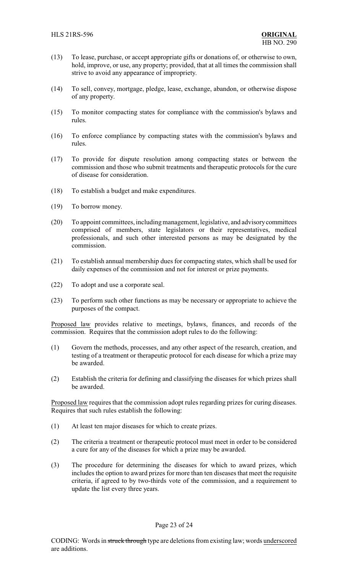- (13) To lease, purchase, or accept appropriate gifts or donations of, or otherwise to own, hold, improve, or use, any property; provided, that at all times the commission shall strive to avoid any appearance of impropriety.
- (14) To sell, convey, mortgage, pledge, lease, exchange, abandon, or otherwise dispose of any property.
- (15) To monitor compacting states for compliance with the commission's bylaws and rules.
- (16) To enforce compliance by compacting states with the commission's bylaws and rules.
- (17) To provide for dispute resolution among compacting states or between the commission and those who submit treatments and therapeutic protocols for the cure of disease for consideration.
- (18) To establish a budget and make expenditures.
- (19) To borrow money.
- (20) To appoint committees, includingmanagement, legislative, and advisorycommittees comprised of members, state legislators or their representatives, medical professionals, and such other interested persons as may be designated by the commission.
- (21) To establish annual membership dues for compacting states, which shall be used for daily expenses of the commission and not for interest or prize payments.
- (22) To adopt and use a corporate seal.
- (23) To perform such other functions as may be necessary or appropriate to achieve the purposes of the compact.

Proposed law provides relative to meetings, bylaws, finances, and records of the commission. Requires that the commission adopt rules to do the following:

- (1) Govern the methods, processes, and any other aspect of the research, creation, and testing of a treatment or therapeutic protocol for each disease for which a prize may be awarded.
- (2) Establish the criteria for defining and classifying the diseases for which prizes shall be awarded.

Proposed law requires that the commission adopt rules regarding prizes for curing diseases. Requires that such rules establish the following:

- (1) At least ten major diseases for which to create prizes.
- (2) The criteria a treatment or therapeutic protocol must meet in order to be considered a cure for any of the diseases for which a prize may be awarded.
- (3) The procedure for determining the diseases for which to award prizes, which includes the option to award prizes for more than ten diseases that meet the requisite criteria, if agreed to by two-thirds vote of the commission, and a requirement to update the list every three years.